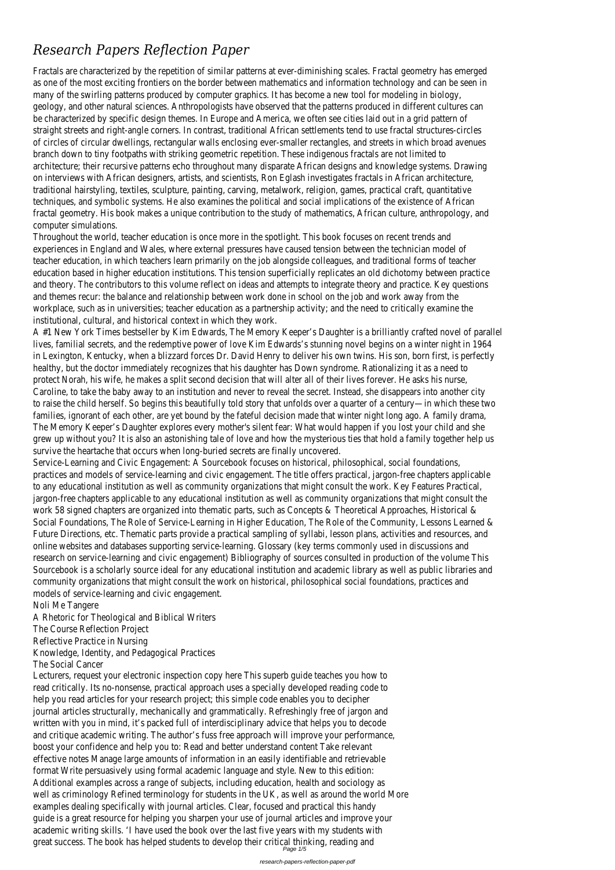# *Research Papers Reflection Paper*

Fractals are characterized by the repetition of similar patterns at ever-diminishing scales. Fractal geometry has emerge as one of the most exciting frontiers on the border between mathematics and information technology and can be seen many of the swirling patterns produced by computer graphics. It has become a new tool for modeling in biolog geology, and other natural sciences. Anthropologists have observed that the patterns produced in different cultures ca be characterized by specific design themes. In Europe and America, we often see cities laid out in a grid pattern straight streets and right-angle corners. In contrast, traditional African settlements tend to use fractal structures-circl of circles of circular dwellings, rectangular walls enclosing ever-smaller rectangles, and streets in which broad avenues branch down to tiny footpaths with striking geometric repetition. These indigenous fractals are not limited architecture; their recursive patterns echo throughout many disparate African designs and knowledge systems. Drawin on interviews with African designers, artists, and scientists, Ron Eglash investigates fractals in African architectur traditional hairstyling, textiles, sculpture, painting, carving, metalwork, religion, games, practical craft, quantitative techniques, and symbolic systems. He also examines the political and social implications of the existence of Africa fractal geometry. His book makes a unique contribution to the study of mathematics, African culture, anthropology, and computer simulations.

Throughout the world, teacher education is once more in the spotlight. This book focuses on recent trends are experiences in England and Wales, where external pressures have caused tension between the technician model of teacher education, in which teachers learn primarily on the job alongside colleagues, and traditional forms of teacher education based in higher education institutions. This tension superficially replicates an old dichotomy between practic and theory. The contributors to this volume reflect on ideas and attempts to integrate theory and practice. Key questio and themes recur: the balance and relationship between work done in school on the job and work away from the workplace, such as in universities; teacher education as a partnership activity; and the need to critically examine the institutional, cultural, and historical context in which they work.

A #1 New York Times bestseller by Kim Edwards, The Memory Keeper's Daughter is a brilliantly crafted novel of parall lives, familial secrets, and the redemptive power of love Kim Edwards's stunning novel begins on a winter night in 196 in Lexington, Kentucky, when a blizzard forces Dr. David Henry to deliver his own twins. His son, born first, is perfect healthy, but the doctor immediately recognizes that his daughter has Down syndrome. Rationalizing it as a need protect Norah, his wife, he makes a split second decision that will alter all of their lives forever. He asks his nurs Caroline, to take the baby away to an institution and never to reveal the secret. Instead, she disappears into another city to raise the child herself. So begins this beautifully told story that unfolds over a quarter of a century—in which these two families, ignorant of each other, are yet bound by the fateful decision made that winter night long ago. A family dram The Memory Keeper's Daughter explores every mother's silent fear: What would happen if you lost your child and sh grew up without you? It is also an astonishing tale of love and how the mysterious ties that hold a family together help survive the heartache that occurs when long-buried secrets are finally uncovered

Service-Learning and Civic Engagement: A Sourcebook focuses on historical, philosophical, social foundation practices and models of service-learning and civic engagement. The title offers practical, jargon-free chapters applicable to any educational institution as well as community organizations that might consult the work. Key Features Practical jargon-free chapters applicable to any educational institution as well as community organizations that might consult the work 58 signed chapters are organized into thematic parts, such as Concepts & Theoretical Approaches, Historical Social Foundations, The Role of Service-Learning in Higher Education, The Role of the Community, Lessons Learned Future Directions, etc. Thematic parts provide a practical sampling of syllabi, lesson plans, activities and resources, ar online websites and databases supporting service-learning. Glossary (key terms commonly used in discussions ar research on service-learning and civic engagement) Bibliography of sources consulted in production of the volume Th Sourcebook is a scholarly source ideal for any educational institution and academic library as well as public libraries ar community organizations that might consult the work on historical, philosophical social foundations, practices ar models of service-learning and civic engagement.

Lecturers, request your electronic inspection copy here This superb guide teaches you how to read critically. Its no-nonsense, practical approach uses a specially developed reading code t help you read articles for your research project; this simple code enables you to deciphe journal articles structurally, mechanically and grammatically. Refreshingly free of jargon an written with you in mind, it's packed full of interdisciplinary advice that helps you to decode and critique academic writing. The author's fuss free approach will improve your performance boost your confidence and help you to: Read and better understand content Take relevar effective notes Manage large amounts of information in an easily identifiable and retrievable format Write persuasively using formal academic language and style. New to this edition Additional examples across a range of subjects, including education, health and sociology a well as criminology Refined terminology for students in the UK, as well as around the world More examples dealing specifically with journal articles. Clear, focused and practical this hand guide is a great resource for helping you sharpen your use of journal articles and improve your academic writing skills. 'I have used the book over the last five years with my students with great success. The book has helped students to develop their critical thinking, reading an Page 1/5

Noli Me Tangere

A Rhetoric for Theological and Biblical Writers The Course Reflection Project Reflective Practice in Nursing Knowledge, Identity, and Pedagogical Practices

The Social Cancer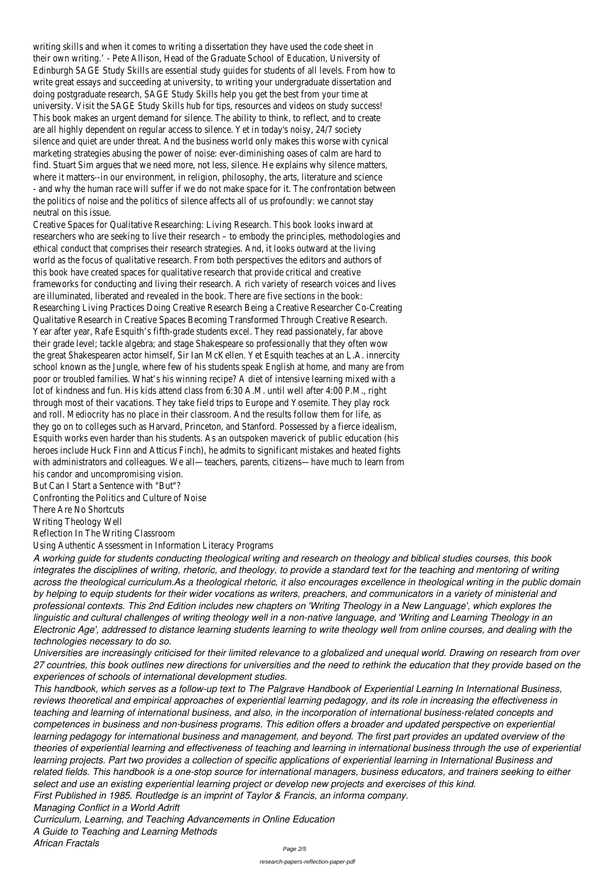writing skills and when it comes to writing a dissertation they have used the code sheet their own writing.' - Pete Allison, Head of the Graduate School of Education, University of Edinburgh SAGE Study Skills are essential study guides for students of all levels. From how to write great essays and succeeding at university, to writing your undergraduate dissertation and doing postgraduate research, SAGE Study Skills help you get the best from your time at university. Visit the SAGE Study Skills hub for tips, resources and videos on study success This book makes an urgent demand for silence. The ability to think, to reflect, and to creat are all highly dependent on regular access to silence. Yet in today's noisy, 24/7 societ silence and quiet are under threat. And the business world only makes this worse with cynic marketing strategies abusing the power of noise: ever-diminishing oases of calm are hard t find. Stuart Sim argues that we need more, not less, silence. He explains why silence matters where it matters--in our environment, in religion, philosophy, the arts, literature and science - and why the human race will suffer if we do not make space for it. The confrontation betwee the politics of noise and the politics of silence affects all of us profoundly: we cannot sta neutral on this issue.

Creative Spaces for Qualitative Researching: Living Research. This book looks inward at researchers who are seeking to live their research – to embody the principles, methodologies and ethical conduct that comprises their research strategies. And, it looks outward at the living world as the focus of qualitative research. From both perspectives the editors and authors of this book have created spaces for qualitative research that provide critical and creative frameworks for conducting and living their research. A rich variety of research voices and live are illuminated, liberated and revealed in the book. There are five sections in the bool Researching Living Practices Doing Creative Research Being a Creative Researcher Co-Creating Qualitative Research in Creative Spaces Becoming Transformed Through Creative Research. Year after year, Rafe Esquith's fifth-grade students excel. They read passionately, far above their grade level; tackle algebra; and stage Shakespeare so professionally that they often wow the great Shakespearen actor himself, Sir Ian McKellen. Yet Esquith teaches at an L.A. innercity school known as the Jungle, where few of his students speak English at home, and many are from poor or troubled families. What's his winning recipe? A diet of intensive learning mixed with lot of kindness and fun. His kids attend class from 6:30 A.M. until well after 4:00 P.M., right through most of their vacations. They take field trips to Europe and Yosemite. They play rock and roll. Mediocrity has no place in their classroom. And the results follow them for life, as they go on to colleges such as Harvard, Princeton, and Stanford. Possessed by a fierce idealism, Esquith works even harder than his students. As an outspoken maverick of public education (his heroes include Huck Finn and Atticus Finch), he admits to significant mistakes and heated fight with administrators and colleagues. We all—teachers, parents, citizens—have much to learn from his candor and uncompromising vision.

But Can I Start a Sentence with "But"?

Confronting the Politics and Culture of Noise

There Are No Shortcuts

Writing Theology Well

Reflection In The Writing Classroom

Using Authentic Assessment in Information Literacy Programs

*A working guide for students conducting theological writing and research on theology and biblical studies courses, this book integrates the disciplines of writing, rhetoric, and theology, to provide a standard text for the teaching and mentoring of writing across the theological curriculum.As a theological rhetoric, it also encourages excellence in theological writing in the public domain by helping to equip students for their wider vocations as writers, preachers, and communicators in a variety of ministerial and professional contexts. This 2nd Edition includes new chapters on 'Writing Theology in a New Language', which explores the linguistic and cultural challenges of writing theology well in a non-native language, and 'Writing and Learning Theology in an Electronic Age', addressed to distance learning students learning to write theology well from online courses, and dealing with the technologies necessary to do so.*

*Universities are increasingly criticised for their limited relevance to a globalized and unequal world. Drawing on research from over*

*27 countries, this book outlines new directions for universities and the need to rethink the education that they provide based on the experiences of schools of international development studies.*

*This handbook, which serves as a follow-up text to The Palgrave Handbook of Experiential Learning In International Business, reviews theoretical and empirical approaches of experiential learning pedagogy, and its role in increasing the effectiveness in teaching and learning of international business, and also, in the incorporation of international business-related concepts and competences in business and non-business programs. This edition offers a broader and updated perspective on experiential learning pedagogy for international business and management, and beyond. The first part provides an updated overview of the theories of experiential learning and effectiveness of teaching and learning in international business through the use of experiential learning projects. Part two provides a collection of specific applications of experiential learning in International Business and related fields. This handbook is a one-stop source for international managers, business educators, and trainers seeking to either select and use an existing experiential learning project or develop new projects and exercises of this kind. First Published in 1985. Routledge is an imprint of Taylor & Francis, an informa company.*

*Managing Conflict in a World Adrift*

*Curriculum, Learning, and Teaching Advancements in Online Education A Guide to Teaching and Learning Methods*

*African Fractals*

Page 2/5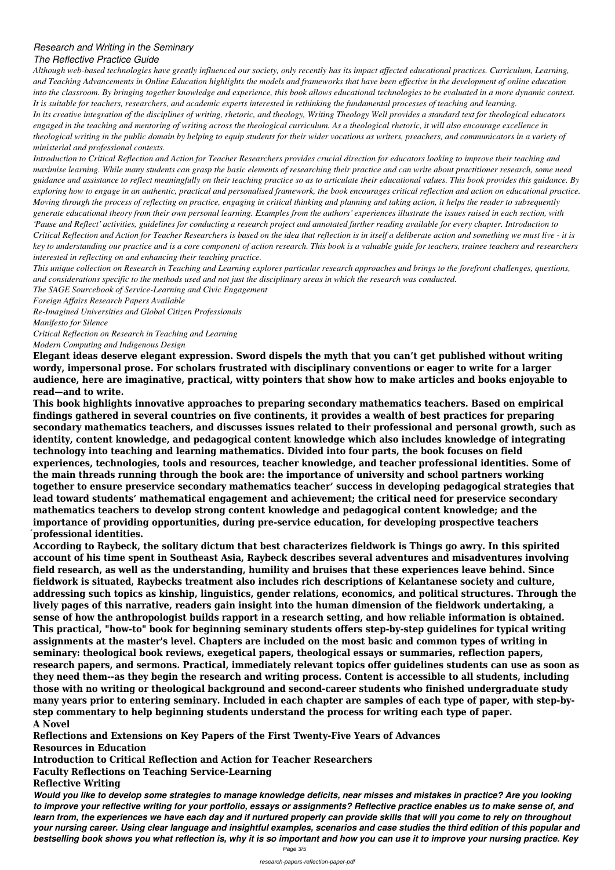## *Research and Writing in the Seminary*

### *The Reflective Practice Guide*

*Although web-based technologies have greatly influenced our society, only recently has its impact affected educational practices. Curriculum, Learning, and Teaching Advancements in Online Education highlights the models and frameworks that have been effective in the development of online education into the classroom. By bringing together knowledge and experience, this book allows educational technologies to be evaluated in a more dynamic context. It is suitable for teachers, researchers, and academic experts interested in rethinking the fundamental processes of teaching and learning.*

*In its creative integration of the disciplines of writing, rhetoric, and theology, Writing Theology Well provides a standard text for theological educators engaged in the teaching and mentoring of writing across the theological curriculum. As a theological rhetoric, it will also encourage excellence in theological writing in the public domain by helping to equip students for their wider vocations as writers, preachers, and communicators in a variety of ministerial and professional contexts.*

*Introduction to Critical Reflection and Action for Teacher Researchers provides crucial direction for educators looking to improve their teaching and maximise learning. While many students can grasp the basic elements of researching their practice and can write about practitioner research, some need guidance and assistance to reflect meaningfully on their teaching practice so as to articulate their educational values. This book provides this guidance. By exploring how to engage in an authentic, practical and personalised framework, the book encourages critical reflection and action on educational practice. Moving through the process of reflecting on practice, engaging in critical thinking and planning and taking action, it helps the reader to subsequently generate educational theory from their own personal learning. Examples from the authors' experiences illustrate the issues raised in each section, with 'Pause and Reflect' activities, guidelines for conducting a research project and annotated further reading available for every chapter. Introduction to Critical Reflection and Action for Teacher Researchers is based on the idea that reflection is in itself a deliberate action and something we must live - it is key to understanding our practice and is a core component of action research. This book is a valuable guide for teachers, trainee teachers and researchers interested in reflecting on and enhancing their teaching practice.*

*This unique collection on Research in Teaching and Learning explores particular research approaches and brings to the forefront challenges, questions, and considerations specific to the methods used and not just the disciplinary areas in which the research was conducted.*

*The SAGE Sourcebook of Service-Learning and Civic Engagement*

*Foreign Affairs Research Papers Available*

*Re-Imagined Universities and Global Citizen Professionals Manifesto for Silence*

*Critical Reflection on Research in Teaching and Learning Modern Computing and Indigenous Design*

**Elegant ideas deserve elegant expression. Sword dispels the myth that you can't get published without writing wordy, impersonal prose. For scholars frustrated with disciplinary conventions or eager to write for a larger audience, here are imaginative, practical, witty pointers that show how to make articles and books enjoyable to read—and to write.**

**This book highlights innovative approaches to preparing secondary mathematics teachers. Based on empirical findings gathered in several countries on five continents, it provides a wealth of best practices for preparing secondary mathematics teachers, and discusses issues related to their professional and personal growth, such as identity, content knowledge, and pedagogical content knowledge which also includes knowledge of integrating technology into teaching and learning mathematics. Divided into four parts, the book focuses on field experiences, technologies, tools and resources, teacher knowledge, and teacher professional identities. Some of the main threads running through the book are: the importance of university and school partners working together to ensure preservice secondary mathematics teacher' success in developing pedagogical strategies that lead toward students' mathematical engagement and achievement; the critical need for preservice secondary mathematics teachers to develop strong content knowledge and pedagogical content knowledge; and the importance of providing opportunities, during pre-service education, for developing prospective teachers ́professional identities.**

**According to Raybeck, the solitary dictum that best characterizes fieldwork is Things go awry. In this spirited account of his time spent in Southeast Asia, Raybeck describes several adventures and misadventures involving field research, as well as the understanding, humility and bruises that these experiences leave behind. Since fieldwork is situated, Raybecks treatment also includes rich descriptions of Kelantanese society and culture, addressing such topics as kinship, linguistics, gender relations, economics, and political structures. Through the lively pages of this narrative, readers gain insight into the human dimension of the fieldwork undertaking, a sense of how the anthropologist builds rapport in a research setting, and how reliable information is obtained. This practical, "how-to" book for beginning seminary students offers step-by-step guidelines for typical writing assignments at the master's level. Chapters are included on the most basic and common types of writing in seminary: theological book reviews, exegetical papers, theological essays or summaries, reflection papers, research papers, and sermons. Practical, immediately relevant topics offer guidelines students can use as soon as they need them--as they begin the research and writing process. Content is accessible to all students, including those with no writing or theological background and second-career students who finished undergraduate study many years prior to entering seminary. Included in each chapter are samples of each type of paper, with step-bystep commentary to help beginning students understand the process for writing each type of paper. A Novel Reflections and Extensions on Key Papers of the First Twenty-Five Years of Advances Resources in Education Introduction to Critical Reflection and Action for Teacher Researchers Faculty Reflections on Teaching Service-Learning Reflective Writing** *Would you like to develop some strategies to manage knowledge deficits, near misses and mistakes in practice? Are you looking to improve your reflective writing for your portfolio, essays or assignments? Reflective practice enables us to make sense of, and learn from, the experiences we have each day and if nurtured properly can provide skills that will you come to rely on throughout your nursing career. Using clear language and insightful examples, scenarios and case studies the third edition of this popular and bestselling book shows you what reflection is, why it is so important and how you can use it to improve your nursing practice. Key*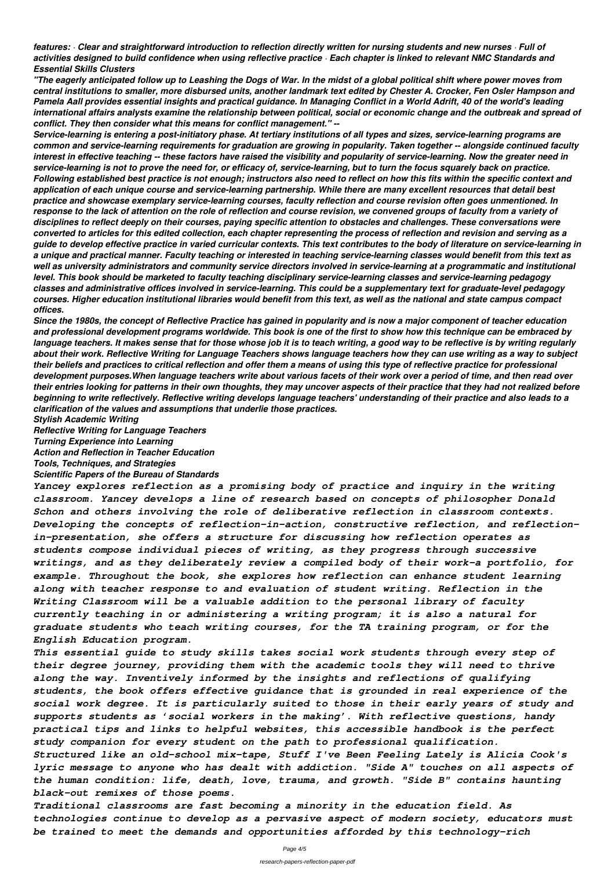*features: · Clear and straightforward introduction to reflection directly written for nursing students and new nurses · Full of activities designed to build confidence when using reflective practice · Each chapter is linked to relevant NMC Standards and Essential Skills Clusters*

*"The eagerly anticipated follow up to Leashing the Dogs of War. In the midst of a global political shift where power moves from central institutions to smaller, more disbursed units, another landmark text edited by Chester A. Crocker, Fen Osler Hampson and Pamela Aall provides essential insights and practical guidance. In Managing Conflict in a World Adrift, 40 of the world's leading international affairs analysts examine the relationship between political, social or economic change and the outbreak and spread of conflict. They then consider what this means for conflict management." --*

*Service-learning is entering a post-initiatory phase. At tertiary institutions of all types and sizes, service-learning programs are common and service-learning requirements for graduation are growing in popularity. Taken together -- alongside continued faculty interest in effective teaching -- these factors have raised the visibility and popularity of service-learning. Now the greater need in service-learning is not to prove the need for, or efficacy of, service-learning, but to turn the focus squarely back on practice. Following established best practice is not enough; instructors also need to reflect on how this fits within the specific context and application of each unique course and service-learning partnership. While there are many excellent resources that detail best practice and showcase exemplary service-learning courses, faculty reflection and course revision often goes unmentioned. In response to the lack of attention on the role of reflection and course revision, we convened groups of faculty from a variety of disciplines to reflect deeply on their courses, paying specific attention to obstacles and challenges. These conversations were converted to articles for this edited collection, each chapter representing the process of reflection and revision and serving as a guide to develop effective practice in varied curricular contexts. This text contributes to the body of literature on service-learning in a unique and practical manner. Faculty teaching or interested in teaching service-learning classes would benefit from this text as well as university administrators and community service directors involved in service-learning at a programmatic and institutional level. This book should be marketed to faculty teaching disciplinary service-learning classes and service-learning pedagogy classes and administrative offices involved in service-learning. This could be a supplementary text for graduate-level pedagogy courses. Higher education institutional libraries would benefit from this text, as well as the national and state campus compact offices.*

*Since the 1980s, the concept of Reflective Practice has gained in popularity and is now a major component of teacher education and professional development programs worldwide. This book is one of the first to show how this technique can be embraced by language teachers. It makes sense that for those whose job it is to teach writing, a good way to be reflective is by writing regularly about their work. Reflective Writing for Language Teachers shows language teachers how they can use writing as a way to subject their beliefs and practices to critical reflection and offer them a means of using this type of reflective practice for professional development purposes.When language teachers write about various facets of their work over a period of time, and then read over their entries looking for patterns in their own thoughts, they may uncover aspects of their practice that they had not realized before beginning to write reflectively. Reflective writing develops language teachers' understanding of their practice and also leads to a clarification of the values and assumptions that underlie those practices.*

*Stylish Academic Writing*

*Reflective Writing for Language Teachers*

*Turning Experience into Learning*

*Action and Reflection in Teacher Education*

*Tools, Techniques, and Strategies*

*Scientific Papers of the Bureau of Standards*

*Yancey explores reflection as a promising body of practice and inquiry in the writing classroom. Yancey develops a line of research based on concepts of philosopher Donald Schon and others involving the role of deliberative reflection in classroom contexts. Developing the concepts of reflection-in-action, constructive reflection, and reflectionin-presentation, she offers a structure for discussing how reflection operates as students compose individual pieces of writing, as they progress through successive writings, and as they deliberately review a compiled body of their work-a portfolio, for example. Throughout the book, she explores how reflection can enhance student learning along with teacher response to and evaluation of student writing. Reflection in the Writing Classroom will be a valuable addition to the personal library of faculty currently teaching in or administering a writing program; it is also a natural for graduate students who teach writing courses, for the TA training program, or for the English Education program.*

*This essential guide to study skills takes social work students through every step of*

*their degree journey, providing them with the academic tools they will need to thrive along the way. Inventively informed by the insights and reflections of qualifying students, the book offers effective guidance that is grounded in real experience of the social work degree. It is particularly suited to those in their early years of study and supports students as 'social workers in the making'. With reflective questions, handy practical tips and links to helpful websites, this accessible handbook is the perfect study companion for every student on the path to professional qualification. Structured like an old-school mix-tape, Stuff I've Been Feeling Lately is Alicia Cook's lyric message to anyone who has dealt with addiction. "Side A" touches on all aspects of the human condition: life, death, love, trauma, and growth. "Side B" contains haunting black-out remixes of those poems.*

*Traditional classrooms are fast becoming a minority in the education field. As technologies continue to develop as a pervasive aspect of modern society, educators must be trained to meet the demands and opportunities afforded by this technology-rich*

Page 4/5